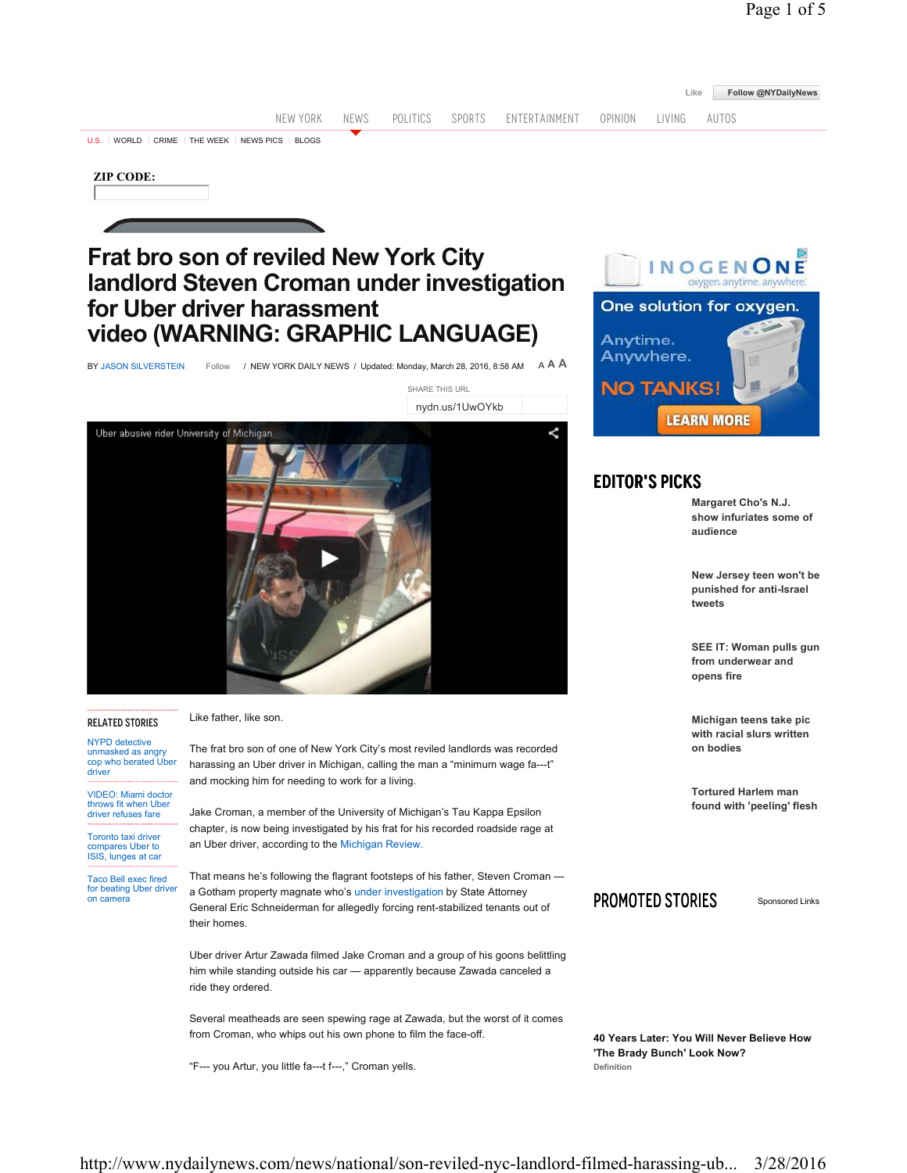|                                                                                                                    |                                                                                                                                                                                                                                                            |      |          |        |               |                                                                                                                               |                                                                           | Like                                                       | Follow @NYDailyNews |  |
|--------------------------------------------------------------------------------------------------------------------|------------------------------------------------------------------------------------------------------------------------------------------------------------------------------------------------------------------------------------------------------------|------|----------|--------|---------------|-------------------------------------------------------------------------------------------------------------------------------|---------------------------------------------------------------------------|------------------------------------------------------------|---------------------|--|
|                                                                                                                    | NEW YORK                                                                                                                                                                                                                                                   | NEWS | POLITICS | SPORTS | ENTERTAINMENT | OPINION                                                                                                                       | LIVING                                                                    | AUTOS                                                      |                     |  |
|                                                                                                                    | U.S. WORLD CRIME THE WEEK NEWS PICS BLOGS                                                                                                                                                                                                                  |      |          |        |               |                                                                                                                               |                                                                           |                                                            |                     |  |
| <b>ZIP CODE:</b>                                                                                                   |                                                                                                                                                                                                                                                            |      |          |        |               |                                                                                                                               |                                                                           |                                                            |                     |  |
| <b>Frat bro son of reviled New York City</b>                                                                       |                                                                                                                                                                                                                                                            |      |          |        |               | INOGENO<br>oxygen, anytime, anywhere.                                                                                         |                                                                           |                                                            |                     |  |
| landlord Steven Croman under investigation<br>for Uber driver harassment                                           |                                                                                                                                                                                                                                                            |      |          |        |               | One solution for oxygen.                                                                                                      |                                                                           |                                                            |                     |  |
| video (WARNING: GRAPHIC LANGUAGE)                                                                                  |                                                                                                                                                                                                                                                            |      |          |        |               | Anytime.<br>Anywhere.                                                                                                         |                                                                           |                                                            |                     |  |
|                                                                                                                    |                                                                                                                                                                                                                                                            |      |          |        |               |                                                                                                                               |                                                                           |                                                            |                     |  |
| A <b>A A</b><br>/ NEW YORK DAILY NEWS / Updated: Monday, March 28, 2016, 8:58 AM<br>BY JASON SILVERSTEIN<br>Follow |                                                                                                                                                                                                                                                            |      |          |        |               |                                                                                                                               | <b>NO TANKS!</b>                                                          |                                                            |                     |  |
| SHARE THIS URL<br>nydn.us/1UwOYkb                                                                                  |                                                                                                                                                                                                                                                            |      |          |        |               |                                                                                                                               |                                                                           |                                                            |                     |  |
|                                                                                                                    | Uber abusive rider University of Michigan                                                                                                                                                                                                                  |      |          |        |               |                                                                                                                               |                                                                           | <b>LEARN MORE</b>                                          |                     |  |
|                                                                                                                    |                                                                                                                                                                                                                                                            |      |          |        |               |                                                                                                                               |                                                                           |                                                            |                     |  |
|                                                                                                                    |                                                                                                                                                                                                                                                            |      |          |        |               | <b>EDITOR'S PICKS</b>                                                                                                         |                                                                           |                                                            |                     |  |
|                                                                                                                    |                                                                                                                                                                                                                                                            |      |          |        |               |                                                                                                                               |                                                                           | Margaret Cho's N.J.<br>show infuriates some of<br>audience |                     |  |
|                                                                                                                    |                                                                                                                                                                                                                                                            |      |          |        |               | New Jersey teen won't be<br>punished for anti-Israel<br>tweets<br>SEE IT: Woman pulls gun<br>from underwear and<br>opens fire |                                                                           |                                                            |                     |  |
|                                                                                                                    |                                                                                                                                                                                                                                                            |      |          |        |               |                                                                                                                               |                                                                           |                                                            |                     |  |
| <b>RELATED STORIES</b>                                                                                             | Like father, like son.                                                                                                                                                                                                                                     |      |          |        |               | Michigan teens take pic<br>with racial slurs written<br>on bodies                                                             |                                                                           |                                                            |                     |  |
| <b>NYPD</b> detective<br>unmasked as angry<br>cop who berated Uber<br>driver                                       | The frat bro son of one of New York City's most reviled landlords was recorded<br>harassing an Uber driver in Michigan, calling the man a "minimum wage fa---t"                                                                                            |      |          |        |               |                                                                                                                               |                                                                           |                                                            |                     |  |
| <b>VIDEO: Miami doctor</b>                                                                                         | and mocking him for needing to work for a living.                                                                                                                                                                                                          |      |          |        |               |                                                                                                                               |                                                                           | <b>Tortured Harlem man</b>                                 |                     |  |
| throws fit when Uber<br>driver refuses fare                                                                        | Jake Croman, a member of the University of Michigan's Tau Kappa Epsilon<br>chapter, is now being investigated by his frat for his recorded roadside rage at                                                                                                |      |          |        |               |                                                                                                                               |                                                                           | found with 'peeling' flesh                                 |                     |  |
| Toronto taxi driver<br>compares Uber to<br>ISIS, lunges at car                                                     | an Uber driver, according to the Michigan Review.                                                                                                                                                                                                          |      |          |        |               |                                                                                                                               |                                                                           |                                                            |                     |  |
| <b>Taco Bell exec fired</b><br>for beating Uber driver<br>on camera                                                | That means he's following the flagrant footsteps of his father, Steven Croman —<br>a Gotham property magnate who's under investigation by State Attorney<br>General Eric Schneiderman for allegedly forcing rent-stabilized tenants out of<br>their homes. |      |          |        |               | PROMOTED STORIES<br>Sponsored Links                                                                                           |                                                                           |                                                            |                     |  |
|                                                                                                                    | Uber driver Artur Zawada filmed Jake Croman and a group of his goons belittling<br>him while standing outside his car - apparently because Zawada canceled a<br>ride they ordered.                                                                         |      |          |        |               |                                                                                                                               |                                                                           |                                                            |                     |  |
|                                                                                                                    | Several meatheads are seen spewing rage at Zawada, but the worst of it comes<br>from Croman, who whips out his own phone to film the face-off.                                                                                                             |      |          |        |               |                                                                                                                               | 40 Years Later: You Will Never Believe How<br>'The Brady Bunch' Look Now? |                                                            |                     |  |
|                                                                                                                    | "F--- you Artur, you little fa---t f---," Croman yells.                                                                                                                                                                                                    |      |          |        |               | Definition                                                                                                                    |                                                                           |                                                            |                     |  |
|                                                                                                                    |                                                                                                                                                                                                                                                            |      |          |        |               |                                                                                                                               |                                                                           |                                                            |                     |  |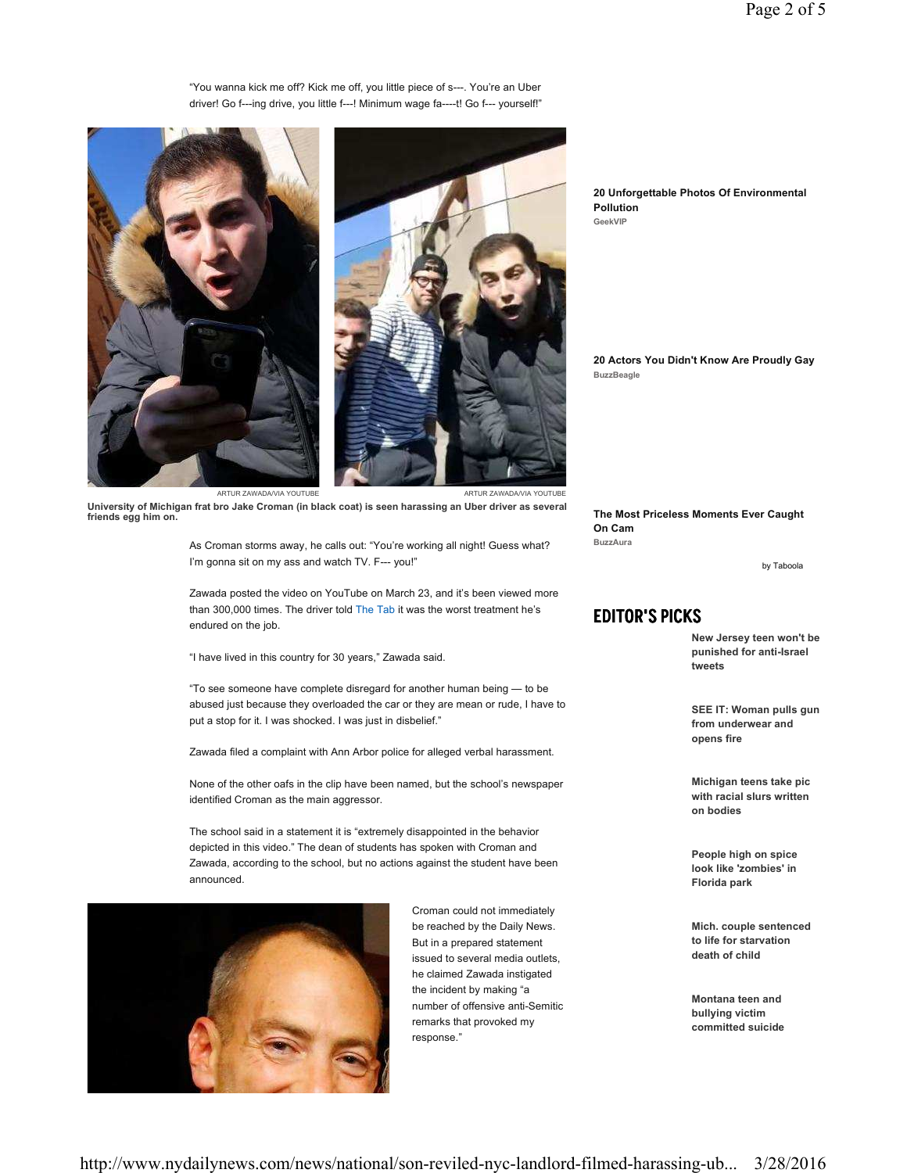"You wanna kick me off? Kick me off, you little piece of s---. You're an Uber driver! Go f---ing drive, you little f---! Minimum wage fa----t! Go f--- yourself!"





ARTUR ZAWADA/VIA YOUTUBE ARTUR ZAWADA/VIA YOUTUBE

**University of Michigan frat bro Jake Croman (in black coat) is seen harassing an Uber driver as several friends egg him on.**

> As Croman storms away, he calls out: "You're working all night! Guess what? I'm gonna sit on my ass and watch TV. F--- you!"

Zawada posted the video on YouTube on March 23, and it's been viewed more than 300,000 times. The driver told The Tab it was the worst treatment he's endured on the job.

"I have lived in this country for 30 years," Zawada said.

"To see someone have complete disregard for another human being — to be abused just because they overloaded the car or they are mean or rude, I have to put a stop for it. I was shocked. I was just in disbelief."

Zawada filed a complaint with Ann Arbor police for alleged verbal harassment.

None of the other oafs in the clip have been named, but the school's newspaper identified Croman as the main aggressor.

The school said in a statement it is "extremely disappointed in the behavior depicted in this video." The dean of students has spoken with Croman and Zawada, according to the school, but no actions against the student have been announced.



Croman could not immediately be reached by the Daily News. But in a prepared statement issued to several media outlets, he claimed Zawada instigated the incident by making "a number of offensive anti-Semitic remarks that provoked my response."

**20 Unforgettable Photos Of Environmental Pollution GeekVIP**

**20 Actors You Didn't Know Are Proudly Gay BuzzBeagle**

**The Most Priceless Moments Ever Caught On Cam BuzzAura**

by Taboola

## Editor's Picks

**New Jersey teen won't be punished for anti-Israel tweets**

**SEE IT: Woman pulls gun from underwear and opens fire**

**Michigan teens take pic with racial slurs written on bodies**

**People high on spice look like 'zombies' in Florida park**

**Mich. couple sentenced to life for starvation death of child**

**Montana teen and bullying victim committed suicide**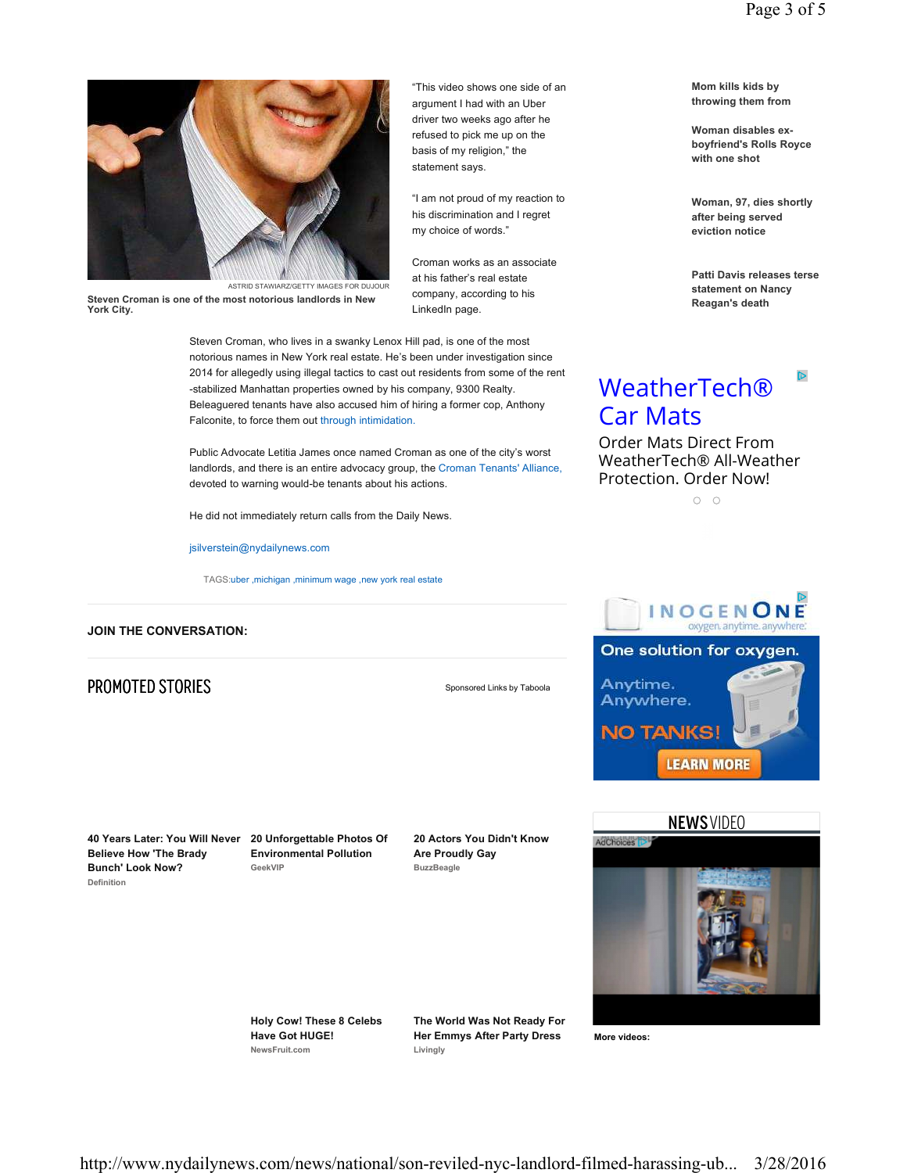

**Steven Croman is one of the most notorious landlords in New York City.**

Steven Croman, who lives in a swanky Lenox Hill pad, is one of the most notorious names in New York real estate. He's been under investigation since 2014 for allegedly using illegal tactics to cast out residents from some of the rent -stabilized Manhattan properties owned by his company, 9300 Realty. Beleaguered tenants have also accused him of hiring a former cop, Anthony Falconite, to force them out through intimidation.

Public Advocate Letitia James once named Croman as one of the city's worst landlords, and there is an entire advocacy group, the Croman Tenants' Alliance, devoted to warning would-be tenants about his actions.

He did not immediately return calls from the Daily News.

jsilverstein@nydailynews.com

TAGS:uber , michigan , minimum wage , new york real estate

### **JOIN THE CONVERSATION:**

## **PROMOTED STORIES** Sponsored Links by Taboola

"This video shows one side of an argument I had with an Uber driver two weeks ago after he refused to pick me up on the basis of my religion," the statement says.

"I am not proud of my reaction to his discrimination and I regret my choice of words."

Croman works as an associate at his father's real estate company, according to his

LinkedIn page.

**40 Years Later: You Will Never 20 Unforgettable Photos Of Believe How 'The Brady Bunch' Look Now? Definition**

**Environmental Pollution GeekVIP**

**20 Actors You Didn't Know Are Proudly Gay BuzzBeagle**



**Holy Cow! These 8 Celebs Have Got HUGE! NewsFruit.com**

**The World Was Not Ready For Her Emmys After Party Dress Livingly**

**More videos:**

**Mom kills kids by throwing them from** 

**Woman disables exboyfriend's Rolls Royce with one shot**

**Woman, 97, dies shortly after being served eviction notice**

**Patti Davis releases terse statement on Nancy Reagan's death**

 $\overline{\mathbb{D}}$ 

# **WeatherTech®** Car Mats

Order Mats Direct From WeatherTech® All-Weather Protection. Order Now!

 $O$   $O$ 



**LEARN MORE** 

**NO TANKS!** 

http://www.nydailynews.com/news/national/son-reviled-nyc-landlord-filmed-harassing-ub... 3/28/2016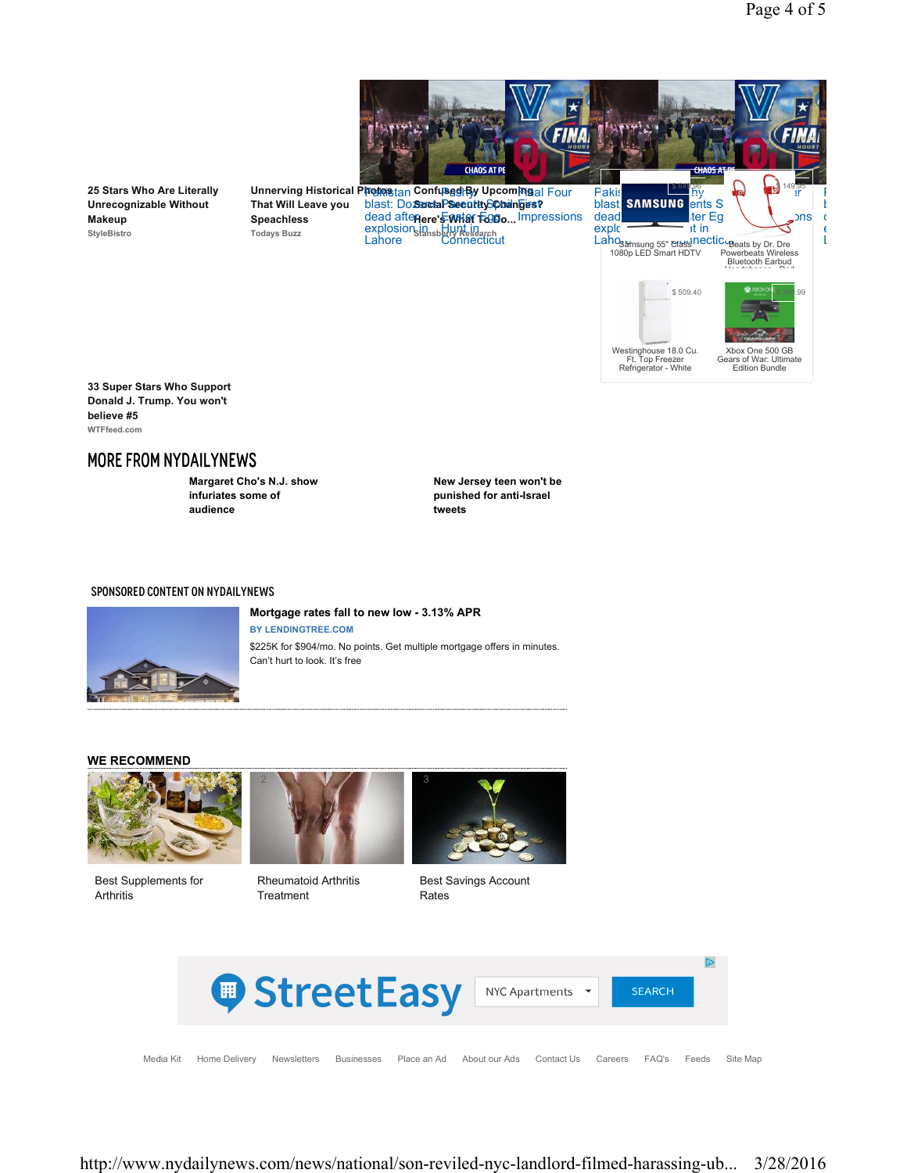



**33 Super Stars Who Support Donald J. Trump. You won't believe #5 WTFfeed.com**

**25 Stars Who Are Literally Unrecognizable Without** 

**Makeup StyleBistro**

## MORE FROM NYDAILYNEWS

**Margaret Cho's N.J. show infuriates some of audience**

**Speachless Todays Buzz**

> **New Jersey teen won't be punished for anti-Israel tweets**

#### SPONSORED CONTENT ON NYDAILYNEWS



#### **Mortgage rates fall to new low - 3.13% APR**

**BY LENDINGTREE.COM**  \$225K for \$904/mo. No points. Get multiple mortgage offers in minutes. Can't hurt to look. It's free

#### **WE RECOMMEND**



Best Supplements for Arthritis



Rheumatoid Arthritis Treatment



Best Savings Account Rates